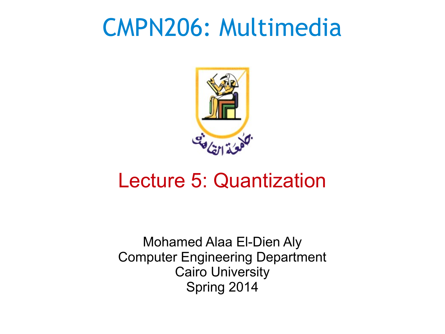#### CMPN206: Multimedia



#### Lecture 5: Quantization

Mohamed Alaa El-Dien Aly Computer Engineering Department Cairo University Spring 2014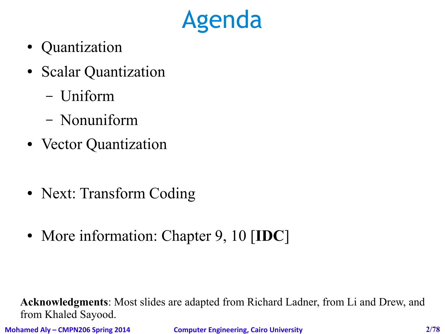## Agenda

- Quantization
- Scalar Quantization
	- Uniform
	- Nonuniform
- Vector Quantization
- Next: Transform Coding
- More information: Chapter 9, 10 [**IDC**]

**Acknowledgments**: Most slides are adapted from Richard Ladner, from Li and Drew, and from Khaled Sayood.

**Mohamed Aly – CMPN206 Spring 2014 Computer Engineering, Cairo University 2/78**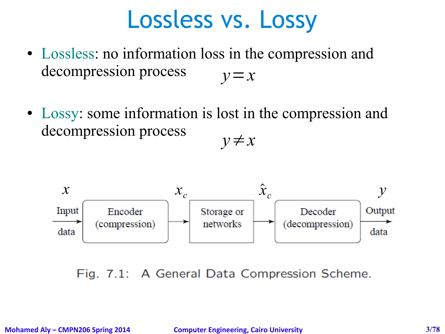#### Lossless vs. Lossy

- Lossless: no information loss in the compression and decompression process *y*=*x*
- Lossy: some information is lost in the compression and decompression process *y*≠*x*



Fig. 7.1: A General Data Compression Scheme.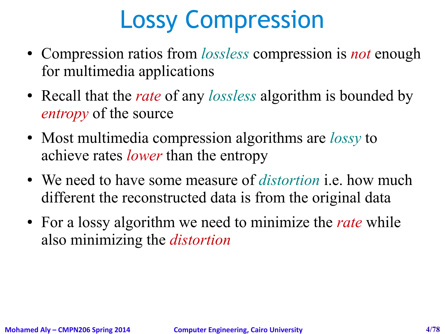# Lossy Compression

- Compression ratios from *lossless* compression is *not* enough for multimedia applications
- Recall that the *rate* of any *lossless* algorithm is bounded by *entropy* of the source
- Most multimedia compression algorithms are *lossy* to achieve rates *lower* than the entropy
- We need to have some measure of *distortion* i.e. how much different the reconstructed data is from the original data
- For a lossy algorithm we need to minimize the *rate* while also minimizing the *distortion*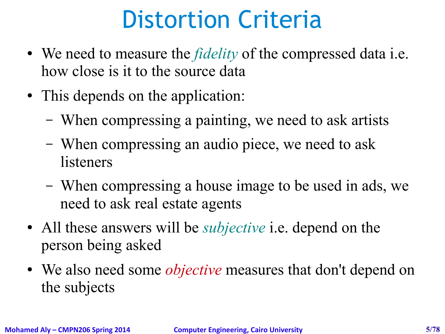## Distortion Criteria

- We need to measure the *fidelity* of the compressed data i.e. how close is it to the source data
- This depends on the application:
	- When compressing a painting, we need to ask artists
	- When compressing an audio piece, we need to ask listeners
	- When compressing a house image to be used in ads, we need to ask real estate agents
- All these answers will be *subjective* i.e. depend on the person being asked
- We also need some *objective* measures that don't depend on the subjects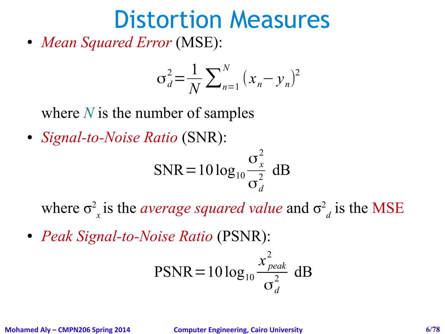#### Distortion Measures

• *Mean Squared Error* (MSE):

$$
\sigma_d^2 = \frac{1}{N} \sum_{n=1}^{N} (x_n - y_n)^2
$$

where *N* is the number of samples

● *Signal-to-Noise Ratio* (SNR):

$$
SNR = 10 \log_{10} \frac{\sigma_x^2}{\sigma_d^2} \text{ dB}
$$

where  $\sigma^2$  $\sigma_x$  is the *average squared value* and  $\sigma^2$  $_d$  is the MSE

● *Peak Signal-to-Noise Ratio* (PSNR):

$$
PSNR = 10 \log_{10} \frac{x_{peak}^2}{\sigma_d^2} \text{ dB}
$$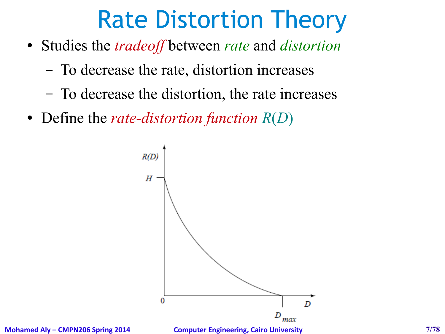## Rate Distortion Theory

- Studies the *tradeoff* between *rate* and *distortion*
	- To decrease the rate, distortion increases
	- To decrease the distortion, the rate increases
- Define the *rate-distortion function R*(*D*)

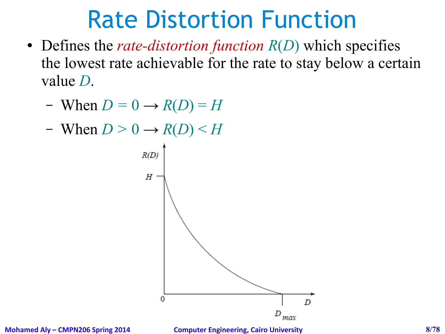#### Rate Distortion Function

- Defines the *rate-distortion function*  $R(D)$  which specifies the lowest rate achievable for the rate to stay below a certain value *D*.
	- When  $D = 0 \rightarrow R(D) = H$
	- When  $D > 0 \rightarrow R(D) < H$



**Mohamed Aly – CMPN206 Spring 2014 Computer Engineering, Cairo University 8/78**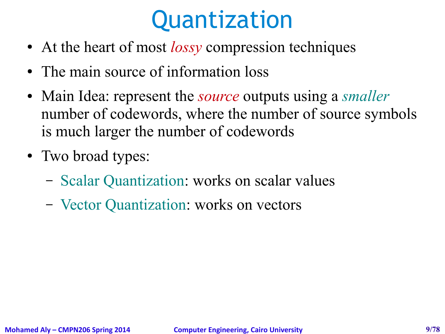## Quantization

- At the heart of most *lossy* compression techniques
- The main source of information loss
- Main Idea: represent the *source* outputs using a *smaller* number of codewords, where the number of source symbols is much larger the number of codewords
- Two broad types:
	- Scalar Quantization: works on scalar values
	- Vector Quantization: works on vectors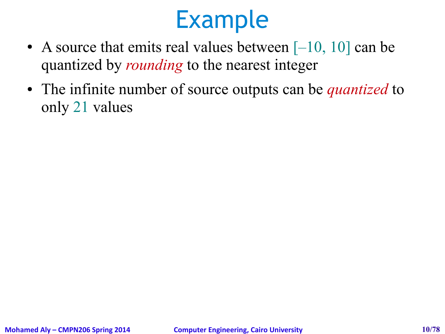- A source that emits real values between  $[-10, 10]$  can be quantized by *rounding* to the nearest integer
- The infinite number of source outputs can be *quantized* to only 21 values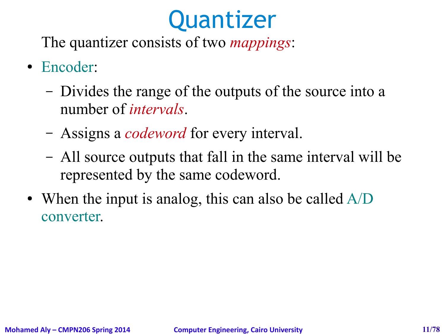## **Quantizer**

The quantizer consists of two *mappings*:

- Encoder:
	- Divides the range of the outputs of the source into a number of *intervals*.
	- Assigns a *codeword* for every interval.
	- All source outputs that fall in the same interval will be represented by the same codeword.
- When the input is analog, this can also be called  $A/D$ converter.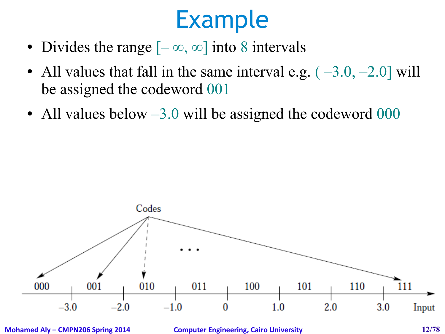- Divides the range  $[-\infty, \infty]$  into 8 intervals
- All values that fall in the same interval e.g.  $(-3.0, -2.0]$  will be assigned the codeword 001
- All values below  $-3.0$  will be assigned the codeword 000



**Mohamed Aly – CMPN206 Spring 2014 Computer Engineering, Cairo University 12/78**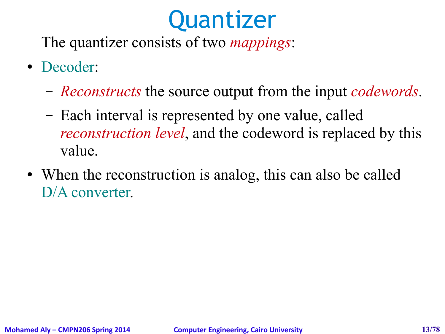## **Quantizer**

The quantizer consists of two *mappings*:

- Decoder:
	- *Reconstructs* the source output from the input *codewords*.
	- Each interval is represented by one value, called *reconstruction level*, and the codeword is replaced by this value.
- When the reconstruction is analog, this can also be called D/A converter.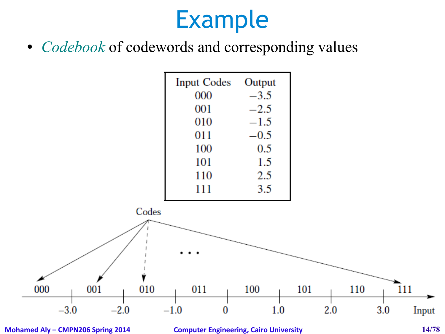• *Codebook* of codewords and corresponding values

| <b>Input Codes</b> | Output |  |  |
|--------------------|--------|--|--|
| 000                | $-3.5$ |  |  |
| 001                | $-2.5$ |  |  |
| 010                | $-1.5$ |  |  |
| 011                | $-0.5$ |  |  |
| 100                | 0.5    |  |  |
| 101                | 1.5    |  |  |
| 110                | 2.5    |  |  |
| 111                | 3.5    |  |  |



**Mohamed Aly – CMPN206 Spring 2014 Computer Engineering, Cairo University 14/78**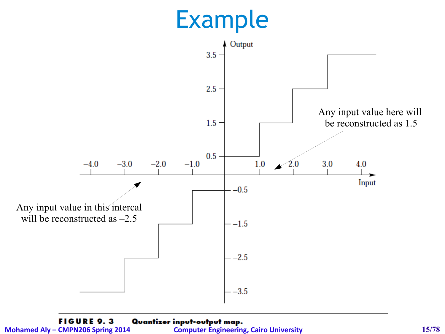

**FIGURE 9.3** Quantizer input-output map. **Mohamed Aly – CMPN206 Spring 2014 Computer Engineering, Cairo University 15/78**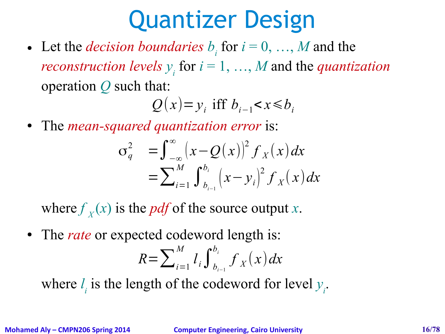## Quantizer Design

• Let the *decision boundaries*  $b_i$  for  $i = 0, ..., M$  and the *reconstruction levels*  $y_i$  for  $i = 1, ..., M$  and the *quantization* operation *Q* such that:

*Q*(*x*)= *y*<sub>*i*</sub> iff *b*<sub>*i*−1</sub> < *x* ≤ *b*<sub>*i*</sub>

● The *mean-squared quantization error* is:

$$
\sigma_q^2 = \int_{-\infty}^{\infty} (x - Q(x))^2 f_X(x) dx
$$
  
= 
$$
\sum_{i=1}^M \int_{b_{i-1}}^{b_i} (x - y_i)^2 f_X(x) dx
$$

where  $f<sub>x</sub>(x)$  is the *pdf* of the source output *x*.

• The *rate* or expected codeword length is:

$$
R = \sum_{i=1}^{M} l_i \int_{b_{i-1}}^{b_i} f_X(x) dx
$$

where  $l_i$  is the length of the codeword for level  $y_i$ .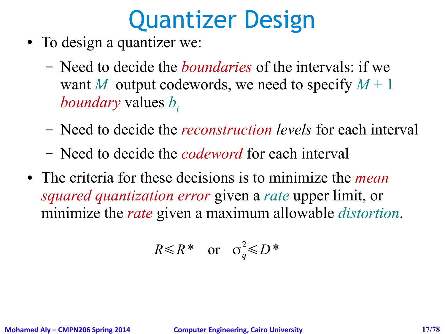## Quantizer Design

- To design a quantizer we:
	- Need to decide the *boundaries* of the intervals: if we want *M* output codewords, we need to specify  $M+1$ *boundary* values *b<sup>i</sup>*
	- Need to decide the *reconstruction levels* for each interval
	- Need to decide the *codeword* for each interval
- The criteria for these decisions is to minimize the *mean squared quantization error* given a *rate* upper limit, or minimize the *rate* given a maximum allowable *distortion*.

$$
R \le R^* \quad \text{or} \quad \sigma_q^2 \le D^*
$$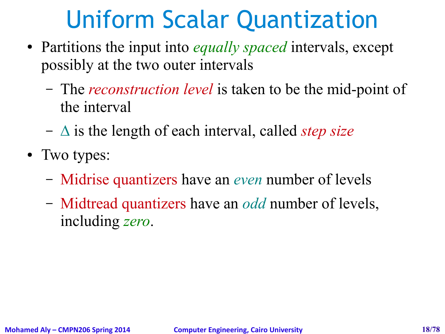## Uniform Scalar Quantization

- Partitions the input into *equally spaced* intervals, except possibly at the two outer intervals
	- The *reconstruction level* is taken to be the mid-point of the interval
	- ∆ is the length of each interval, called *step size*
- Two types:
	- Midrise quantizers have an *even* number of levels
	- Midtread quantizers have an *odd* number of levels, including *zero*.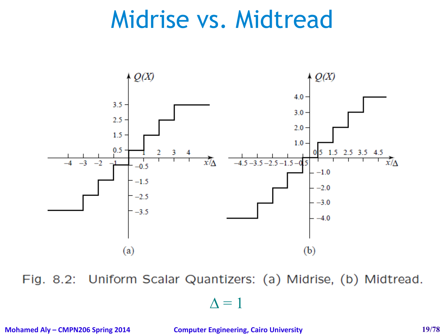#### Midrise vs. Midtread



Fig. 8.2: Uniform Scalar Quantizers: (a) Midrise, (b) Midtread.

 $\Delta = 1$ 

**Mohamed Aly – CMPN206 Spring 2014 Computer Engineering, Cairo University 19/78**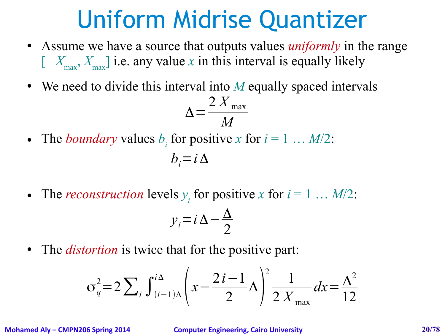#### Uniform Midrise Quantizer

- Assume we have a source that outputs values *uniformly* in the range  $[-X_{\text{max}}, X_{\text{max}}]$  i.e. any value *x* in this interval is equally likely
- We need to divide this interval into M equally spaced intervals

$$
\Delta = \frac{2 X_{\text{max}}}{M}
$$

• The *boundary* values  $b_i$  for positive *x* for  $i = 1 \ldots M/2$ :

$$
b_i = i \Delta
$$

• The *reconstruction* levels  $y_i$  for positive *x* for  $i = 1 \dots M/2$ :

$$
y_i = i\,\Delta - \frac{\Delta}{2}
$$

• The *distortion* is twice that for the positive part:

$$
\sigma_q^2 = 2 \sum_i \int_{(i-1)\Delta}^{i\Delta} \left( x - \frac{2i - 1}{2} \Delta \right)^2 \frac{1}{2 X_{\text{max}}} dx = \frac{\Delta^2}{12}
$$

**Mohamed Aly – CMPN206 Spring 2014 Computer Engineering, Cairo University 20/78**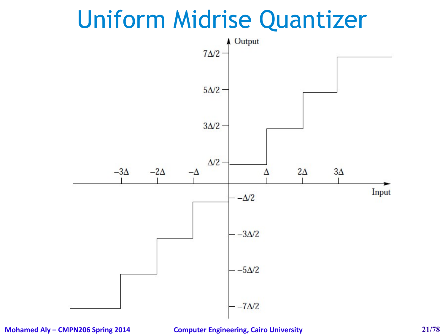#### Uniform Midrise Quantizer



**Mohamed Aly – CMPN206 Spring 2014 Computer Engineering, Cairo University 21/78**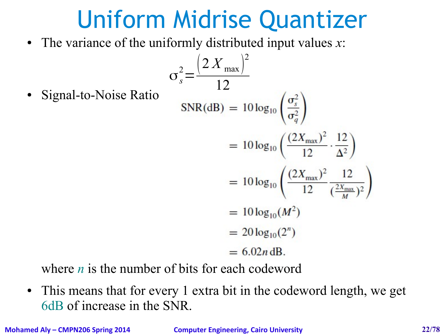#### Uniform Midrise Quantizer

• The variance of the uniformly distributed input values *x*:

• Signal-to-Noise Ratio  
\n• SNR(dB) = 
$$
10 \log_{10} \left( \frac{\sigma_s^2}{\sigma_q^2} \right)
$$
  
\n=  $10 \log_{10} \left( \frac{(2X_{\text{max}})^2}{12} \cdot \frac{12}{\Delta^2} \right)$   
\n=  $10 \log_{10} \left( \frac{(2X_{\text{max}})^2}{12} \cdot \frac{12}{\Delta^2} \right)$   
\n=  $10 \log_{10} \left( \frac{(2X_{\text{max}})^2}{12} \cdot \frac{12}{(\frac{2X_{\text{max}}}{M})^2} \right)$   
\n=  $10 \log_{10}(M^2)$   
\n=  $20 \log_{10}(2^n)$   
\n=  $6.02n \text{ dB.}$ 

where *n* is the number of bits for each codeword

• This means that for every 1 extra bit in the codeword length, we get 6dB of increase in the SNR.

**Mohamed Aly – CMPN206 Spring 2014 Computer Engineering, Cairo University 22/78**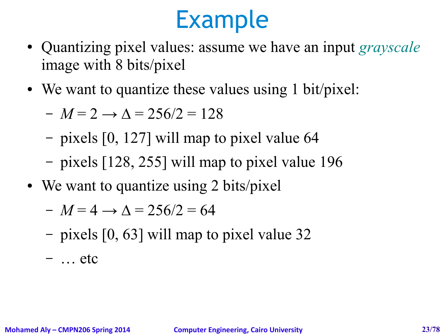- Quantizing pixel values: assume we have an input *grayscale* image with 8 bits/pixel
- We want to quantize these values using 1 bit/pixel:

$$
-M=2 \rightarrow \Delta = 256/2 = 128
$$

- pixels [0, 127] will map to pixel value 64
- pixels [128, 255] will map to pixel value 196
- We want to quantize using 2 bits/pixel

$$
- M = 4 \rightarrow \Delta = 256/2 = 64
$$

– pixels [0, 63] will map to pixel value 32

 $-$  … etc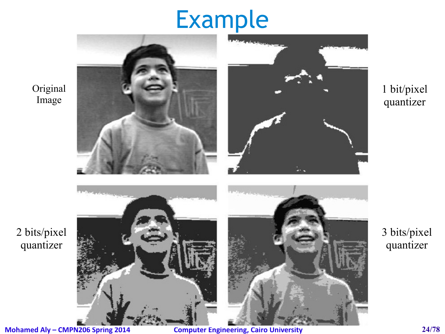

Original

Image

2 bits/pixel

quantizer

**Mohamed Aly – CMPN206 Spring 2014 Computer Engineering, Cairo University 24/78**

#### 1 bit/pixel quantizer

3 bits/pixel quantizer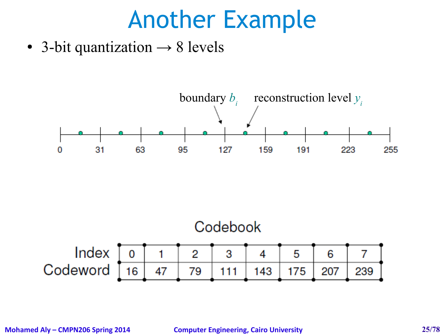#### Another Example

• 3-bit quantization  $\rightarrow$  8 levels



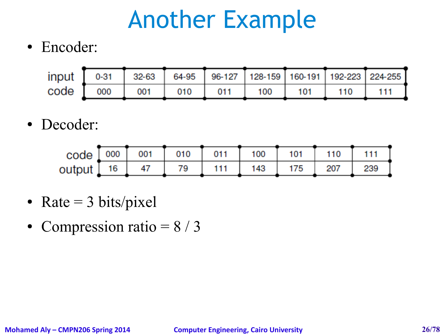## Another Example

• Encoder:

|  | input $\begin{bmatrix} 0 & -31 \end{bmatrix}$ 32-63 $\begin{bmatrix} 64 & -95 \end{bmatrix}$ 96-127 128-159 160-191 192-223 224-255 |  |  |  |
|--|-------------------------------------------------------------------------------------------------------------------------------------|--|--|--|
|  |                                                                                                                                     |  |  |  |

• Decoder:

| $code [ 000 ] 001 ] 010 ] 011 ] 100 ] 101 ] 101 ] 111 ]$ |  |  |  |  |
|----------------------------------------------------------|--|--|--|--|
| output 16 47 79 111 143 175 207 239                      |  |  |  |  |

- Rate  $=$  3 bits/pixel
- Compression ratio  $= 8 / 3$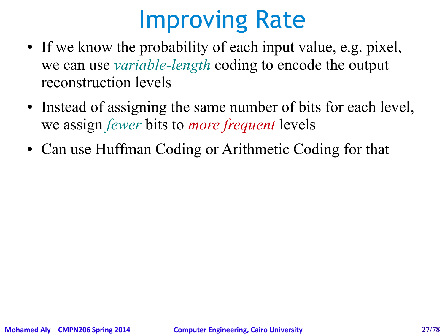## Improving Rate

- If we know the probability of each input value, e.g. pixel, we can use *variable-length* coding to encode the output reconstruction levels
- Instead of assigning the same number of bits for each level, we assign *fewer* bits to *more frequent* levels
- Can use Huffman Coding or Arithmetic Coding for that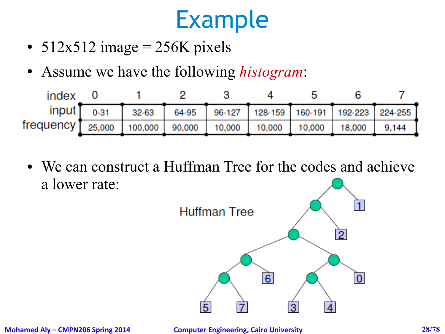- $512x512$  image = 256K pixels
- Assume we have the following *histogram*:



• We can construct a Huffman Tree for the codes and achieve a lower rate:

![](_page_27_Figure_5.jpeg)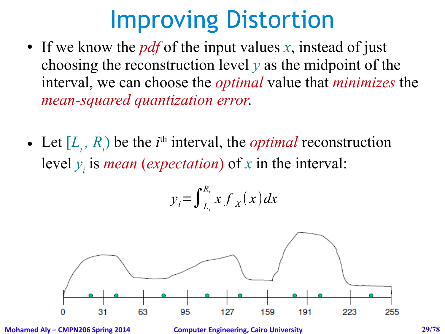## Improving Distortion

- If we know the *pdf* of the input values *x*, instead of just choosing the reconstruction level *y* as the midpoint of the interval, we can choose the *optimal* value that *minimizes* the *mean-squared quantization error*.
- Let  $[L_i, R_i)$  be the *i*<sup>th</sup> interval, the *optimal* reconstruction level  $y_i$  is *mean (expectation)* of *x* in the interval:

$$
y_i = \int_{L_i}^{R_i} x f_X(x) dx
$$

![](_page_28_Figure_4.jpeg)

**Mohamed Aly – CMPN206 Spring 2014 Computer Engineering, Cairo University 29/78**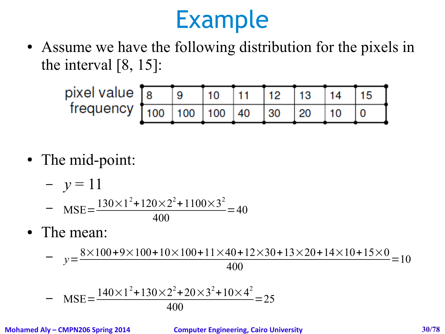• Assume we have the following distribution for the pixels in the interval [8, 15]:

![](_page_29_Figure_2.jpeg)

• The mid-point:

- 
$$
y = 11
$$
  
- MSE=
$$
\frac{130 \times 1^{2} + 120 \times 2^{2} + 1100 \times 3^{2}}{400} = 40
$$

• The mean:

 $-y=$  $8\times100+9\times100+10\times100+11\times40+12\times30+13\times20+14\times10+15\times0$ 400  $=10$ 

- 
$$
MSE = \frac{140 \times 1^{2} + 130 \times 2^{2} + 20 \times 3^{2} + 10 \times 4^{2}}{400} = 25
$$

**Mohamed Aly – CMPN206 Spring 2014 Computer Engineering, Cairo University 30/78**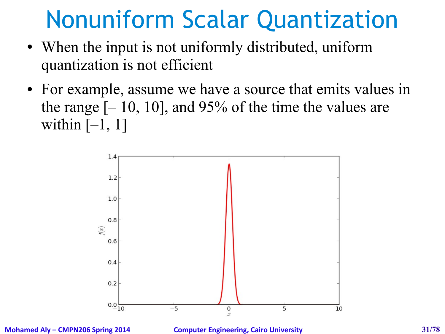## Nonuniform Scalar Quantization

- When the input is not uniformly distributed, uniform quantization is not efficient
- For example, assume we have a source that emits values in the range  $[-10, 10]$ , and 95% of the time the values are within  $[-1, 1]$

![](_page_30_Figure_3.jpeg)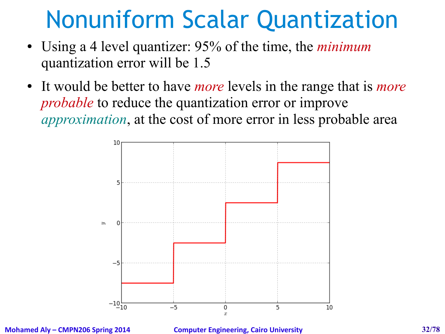## Nonuniform Scalar Quantization

- Using a 4 level quantizer: 95% of the time, the *minimum* quantization error will be 1.5
- It would be better to have *more* levels in the range that is *more probable* to reduce the quantization error or improve *approximation*, at the cost of more error in less probable area

![](_page_31_Figure_3.jpeg)

**Mohamed Aly – CMPN206 Spring 2014 Computer Engineering, Cairo University 32/78**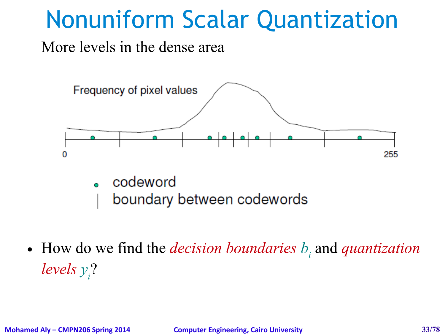## Nonuniform Scalar Quantization

More levels in the dense area

![](_page_32_Figure_2.jpeg)

- codeword
	- boundary between codewords
- How do we find the *decision boundaries*  $b_i$  and *quantization levels y<sup>i</sup>* ?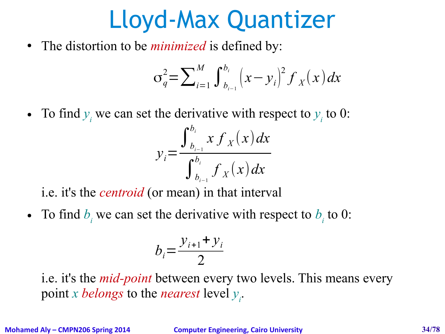## Lloyd-Max Quantizer

• The distortion to be *minimized* is defined by:

$$
\sigma_q^2 = \sum_{i=1}^M \int_{b_{i-1}}^{b_i} (x - y_i)^2 f_X(x) dx
$$

• To find  $y_i$  we can set the derivative with respect to  $y_i$  to 0:

$$
y_i = \frac{\int_{b_{i-1}}^{b_i} x f_X(x) dx}{\int_{b_{i-1}}^{b_i} f_X(x) dx}
$$

i.e. it's the *centroid* (or mean) in that interval

• To find  $b_i$  we can set the derivative with respect to  $b_i$  to 0:

$$
b_i = \frac{y_{i+1} + y_i}{2}
$$

i.e. it's the *mid-point* between every two levels. This means every point *x belongs* to the *nearest* level *y i* .

**Mohamed Aly – CMPN206 Spring 2014 Computer Engineering, Cairo University 34/78**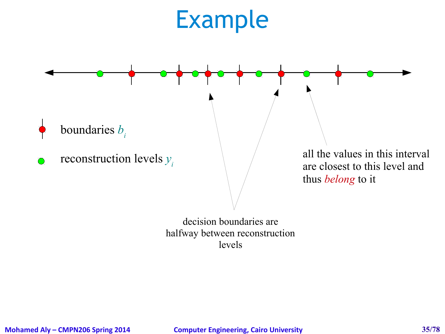![](_page_34_Figure_1.jpeg)

decision boundaries are halfway between reconstruction levels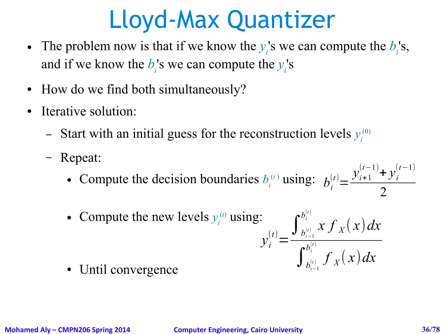## Lloyd-Max Quantizer

- The problem now is that if we know the  $y_i$ 's we can compute the  $b_i$ 's, and if we know the  $b_i$ 's we can compute the  $y_i$ 's
- How do we find both simultaneously?
- Iterative solution:
	- Start with an initial guess for the reconstruction levels  $y_i^{(0)}$
	- Repeat:
		- Compute the decision boundaries  $b_i^{(t)}$  using:  $b_i^{(t)} =$  $y_{i+1}^{(t-1)}$  +  $y_i^{(t-1)}$ 2
		- Compute the new levels  $y_i^{(t)}$  using:

$$
\int_{t}^{(t)}=\frac{\int_{b_{i-1}^{(t)}}^{b_{i}^{(t)}}x f_X(x)dx}{\int_{b_{i-1}^{(t)}}^{b_{i}^{(t)}} f_X(x)dx}
$$

• Until convergence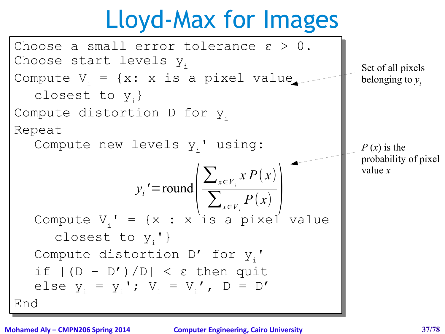## Lloyd-Max for Images

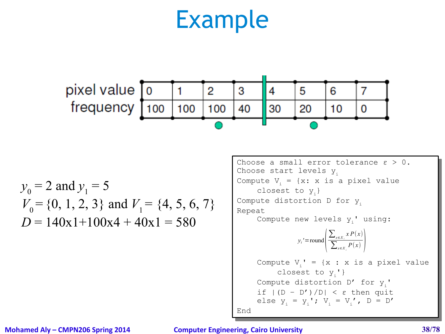

 $y_0 = 2$  and  $y_1 = 5$  $V_0$  = {0, 1, 2, 3} and  $V_1$  = {4, 5, 6, 7}  $D = 140x1+100x4 + 40x1 = 580$ 

Choose a small error tolerance ε > 0. Choose a small error tolerance ε > 0. Choose start levels  $y_i$ Compute  $V_i = {x: x is a pixel value}$ closest to  $y_i$ } Compute distortion D for y<sub>i</sub> Repeat Repeat Compute new levels  $y_i$ ' using: Compute  $V_i' = {x : x is a pixel value}$ closest to  $y_i'$  } Compute distortion D' for y<sub>i</sub>'  $\inf$   $|(D - D')/D| \leq \varepsilon$  then quit else  $y_i = y_i'$ ;  $V_i = V_i'$ ,  $D = D'$ End End  $y_i$ '=round( $\frac{1}{2}$  $\sum_{x \in X_i} x P(x)$  $\sum_{x \in X_i} P(x)$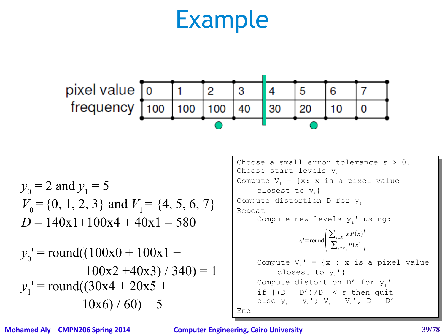

$$
y_0 = 2
$$
 and  $y_1 = 5$   
\n $V_0 = \{0, 1, 2, 3\}$  and  $V_1 = \{4, 5, 6, 7\}$   
\n $D = 140x1+100x4 + 40x1 = 580$ 

$$
y_0' = round((100x0 + 100x1 + 100x2 + 40x3) / 340) = 1
$$
  

$$
y_1' = round((30x4 + 20x5 + 10x6) / 60) = 5
$$

Choose a small error tolerance ε > 0. Choose a small error tolerance ε > 0. Choose start levels  $y_i$ Compute  $V_i = {x: x is a pixel value}$ closest to  $y_i$ } Compute distortion D for y<sub>i</sub> Repeat Repeat Compute new levels  $y_i$ ' using: Compute  $V_i' = {x : x is a pixel value}$ closest to  $y_i'$  } Compute distortion D' for y<sub>i</sub>'  $\inf$   $|(D - D')/D| \leq \varepsilon$  then quit else  $y_i = y_i'$ ;  $V_i = V_i'$ ,  $D = D'$ End End  $y_i$ '=round( $\frac{1}{2}$  $\sum_{x \in X_i} x P(x)$  $\sum_{x \in X_i} P(x)$ 

**Mohamed Aly – CMPN206 Spring 2014 Computer Engineering, Cairo University 39/78**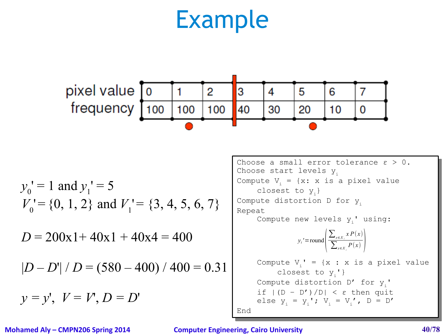

$$
y_0'
$$
 = 1 and  $y_1'$  = 5  
\n $V_0'$  = {0, 1, 2} and  $V_1'$  = {3, 4, 5, 6, 7}  
\n $D = 200x1 + 40x1 + 40x4 = 400$   
\n $|D - D'| / D = (580 - 400) / 400 = 0.31$   
\n $y = y'$ ,  $V = V'$ ,  $D = D'$ 

Choose a small error tolerance ε > 0. Choose a small error tolerance ε > 0. Choose start levels  $y_i$ Compute  $V_i = {x: x is a pixel value}$ closest to  $y_i$ } Compute distortion D for y<sub>i</sub> Repeat Repeat Compute new levels  $y_i$ ' using: Compute  $V_i' = {x : x is a pixel value}$ closest to  $y_i'$  } Compute distortion D' for y<sub>i</sub>' if |(D – D')/D| < ε then quit else  $y_i = y_i'$ ;  $V_i = V_i'$ ,  $D = D'$ End End if  $|(D - D')/D| < \varepsilon$  then quit  $y_i$ '=round( $\frac{1}{2}$  $\sum_{x \in X_i} x P(x)$  $\sum_{x \in X_i} P(x)$ 

**Mohamed Aly – CMPN206 Spring 2014 Computer Engineering, Cairo University 40/78**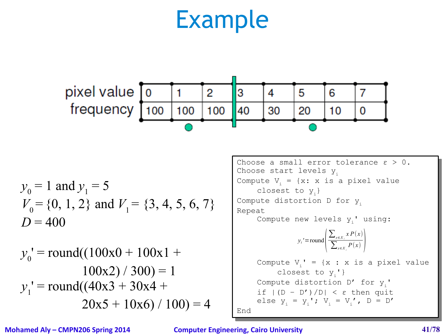

$$
y_0 = 1
$$
 and  $y_1 = 5$   
\n $V_0 = \{0, 1, 2\}$  and  $V_1 = \{3, 4, 5, 6, 7\}$   
\n $D = 400$ 

$$
y_0
$$
' = round((100x0 + 100x1 +  
100x2)/300) = 1  
 $y_1$ ' = round((40x3 + 30x4 +  
20x5 + 10x6)/100) = 4

Choose a small error tolerance ε > 0. Choose a small error tolerance ε > 0. Choose start levels  $y_i$ Compute  $V_i = {x: x is a pixel value}$ closest to  $y_i$ } Compute distortion D for y<sub>i</sub> Repeat Repeat Compute new levels  $y_i$ ' using: Compute  $V_i' = {x : x is a pixel value}$ closest to  $y_i'$  } Compute distortion D' for y<sub>i</sub>'  $\inf$   $|(D - D')/D| \leq \varepsilon$  then quit else  $y_i = y_i'$ ;  $V_i = V_i'$ ,  $D = D'$ End End  $y_i$ '=round( $\frac{1}{2}$  $\sum_{x \in X_i} x P(x)$  $\sum_{x \in X_i} P(x)$ 

**Mohamed Aly – CMPN206 Spring 2014 Computer Engineering, Cairo University 41/78**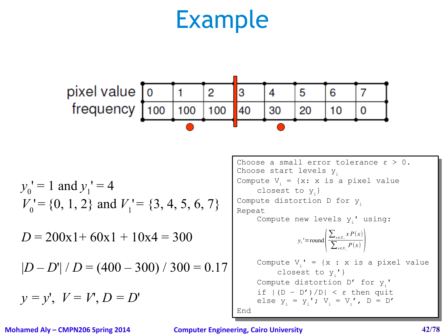

$$
y_0'
$$
 = 1 and  $y_1'$  = 4  
\n $V_0'$  = {0, 1, 2} and  $V_1'$  = {3, 4, 5, 6, 7}  
\n $D = 200x1 + 60x1 + 10x4 = 300$   
\n $|D - D'| / D = (400 - 300) / 300 = 0.17$   
\n $y = y'$ ,  $V = V'$ ,  $D = D'$ 

Choose a small error tolerance ε > 0. Choose a small error tolerance ε > 0. Choose start levels  $y_i$ Compute  $V_i = {x: x is a pixel value}$ closest to  $y_i$ } Compute distortion D for y<sub>i</sub> Repeat Repeat Compute new levels  $y_i$ ' using: Compute  $V_i' = {x : x is a pixel value}$ closest to  $y_i'$  } Compute distortion D' for y<sub>i</sub>'  $\inf$   $|(D - D')/D| \leq \varepsilon$  then quit else  $y_i = y_i'$ ;  $V_i = V_i'$ ,  $D = D'$ End End  $y_i$ '=round( $\frac{1}{2}$  $\sum_{x \in X_i} x P(x)$  $\sum_{x \in X_i} P(x)$ 

**Mohamed Aly – CMPN206 Spring 2014 Computer Engineering, Cairo University 42/78**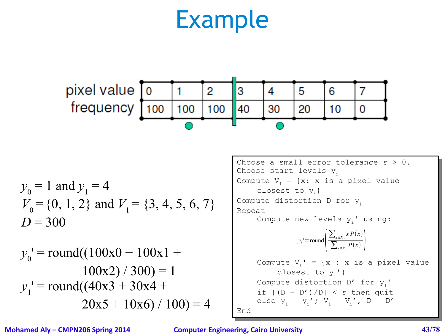

$$
y_0 = 1
$$
 and  $y_1 = 4$   
\n $V_0 = \{0, 1, 2\}$  and  $V_1 = \{3, 4, 5, 6, 7\}$   
\n $D = 300$ 

$$
y_0
$$
' = round((100x0 + 100x1 +  
100x2) / 300) = 1  
 $y_1$ ' = round((40x3 + 30x4 +  
20x5 + 10x6) / 100) = 4

Choose a small error tolerance ε > 0. Choose a small error tolerance ε > 0. Choose start levels  $y_i$ Compute  $V_i = {x: x is a pixel value}$ closest to  $y_i$ } Compute distortion D for y<sub>i</sub> Repeat Repeat Compute new levels  $y_i$ ' using: Compute  $V_i' = {x : x is a pixel value}$ closest to  $y_i'$  } Compute distortion D' for y<sub>i</sub>'  $\inf$   $|(D - D')/D| \leq \varepsilon$  then quit else  $y_i = y_i'$ ;  $V_i = V_i'$ ,  $D = D'$ End End  $y_i$ '=round( $\frac{1}{2}$  $\sum_{x \in X_i} x P(x)$  $\sum_{x \in X_i} P(x)$ 

**Mohamed Aly – CMPN206 Spring 2014 Computer Engineering, Cairo University 43/78**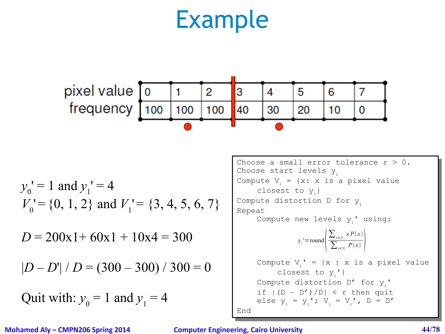

$$
y_0'
$$
 = 1 and  $y_1'$  = 4  
\n $V_0'$  = {0, 1, 2} and  $V_1'$  = {3, 4, 5, 6, 7}  
\n $D = 200x1 + 60x1 + 10x4 = 300$   
\n $|D - D'| / D = (300 - 300) / 300 = 0$   
\nQuit with:  $y_0 = 1$  and  $y_1 = 4$ 

Choose a small error tolerance ε > 0. Choose a small error tolerance ε > 0. Choose start levels  $y_i$ Compute  $V_i = {x: x is a pixel value}$ closest to  $y_i$ } Compute distortion D for y<sub>i</sub> Repeat Repeat Compute new levels  $y_i$ ' using: Compute  $V_i' = {x : x is a pixel value}$ closest to  $y_i'$  } Compute distortion D' for  $Y_i$  $\inf$   $|(D - D')/D| \leq \varepsilon$  then quit else  $y_i = y_i'$ ;  $V_i = V_i'$ ,  $D = D'$ End End Compute distortion D $'$  for  $y_i$ '  $y_i$ '=round( $\frac{1}{2}$  $\sum_{x \in X_i} x P(x)$  $\sum_{x \in X_i} P(x)$ 

**Mohamed Aly – CMPN206 Spring 2014 Computer Engineering, Cairo University 44/78**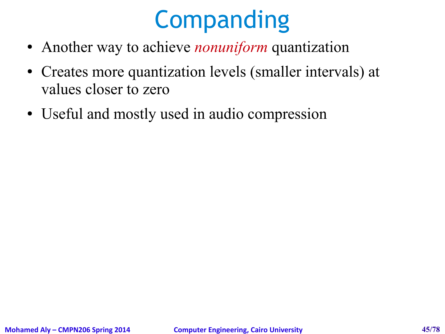## **Companding**

- Another way to achieve *nonuniform* quantization
- Creates more quantization levels (smaller intervals) at values closer to zero
- Useful and mostly used in audio compression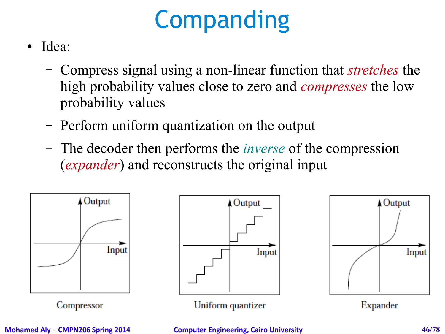# **Companding**

- Idea:
	- Compress signal using a non-linear function that *stretches* the high probability values close to zero and *compresses* the low probability values
	- Perform uniform quantization on the output
	- The decoder then performs the *inverse* of the compression (*expander*) and reconstructs the original input

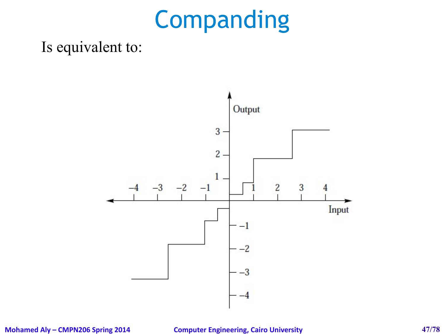## Companding

### Is equivalent to:



**Mohamed Aly – CMPN206 Spring 2014 Computer Engineering, Cairo University 47/78**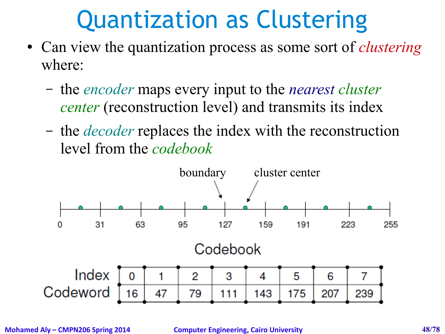## Quantization as Clustering

- Can view the quantization process as some sort of *clustering* where:
	- the *encoder* maps every input to the *nearest cluster center* (reconstruction level) and transmits its index
	- the *decoder* replaces the index with the reconstruction level from the *codebook*



**Mohamed Aly – CMPN206 Spring 2014 Computer Engineering, Cairo University 48/78**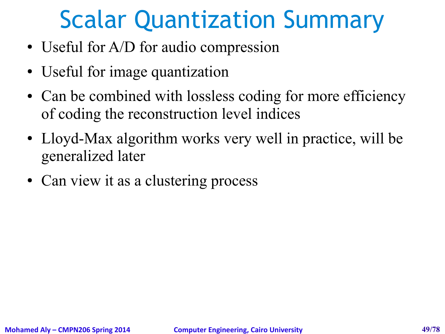## Scalar Quantization Summary

- Useful for A/D for audio compression
- Useful for image quantization
- Can be combined with lossless coding for more efficiency of coding the reconstruction level indices
- Lloyd-Max algorithm works very well in practice, will be generalized later
- Can view it as a clustering process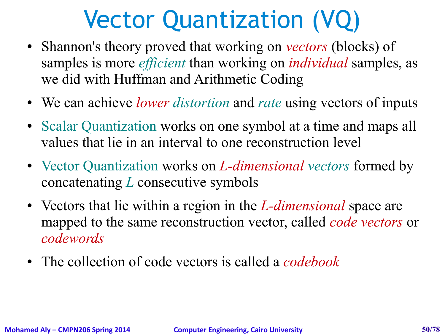## Vector Quantization (VQ)

- Shannon's theory proved that working on *vectors* (blocks) of samples is more *efficient* than working on *individual* samples, as we did with Huffman and Arithmetic Coding
- We can achieve *lower distortion* and *rate* using vectors of inputs
- Scalar Quantization works on one symbol at a time and maps all values that lie in an interval to one reconstruction level
- Vector Quantization works on *L-dimensional vectors* formed by concatenating *L* consecutive symbols
- Vectors that lie within a region in the *L-dimensional* space are mapped to the same reconstruction vector, called *code vectors* or *codewords*
- The collection of code vectors is called a *codebook*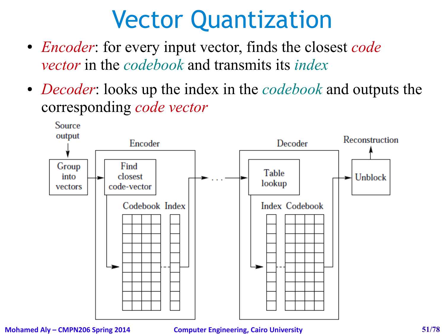## Vector Quantization

- *Encoder*: for every input vector, finds the closest *code vector* in the *codebook* and transmits its *index*
- *Decoder*: looks up the index in the *codebook* and outputs the corresponding *code vector*



### **Mohamed Aly – CMPN206 Spring 2014 Computer Engineering, Cairo University 51/78**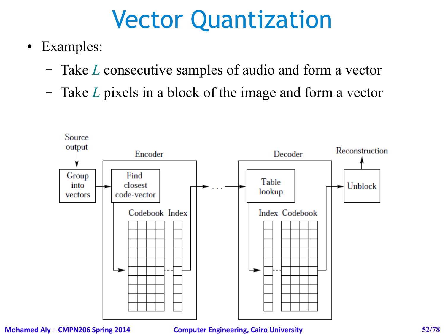## Vector Quantization

- Examples:
	- Take *L* consecutive samples of audio and form a vector
	- Take *L* pixels in a block of the image and form a vector



### **Mohamed Aly – CMPN206 Spring 2014 Computer Engineering, Cairo University 52/78**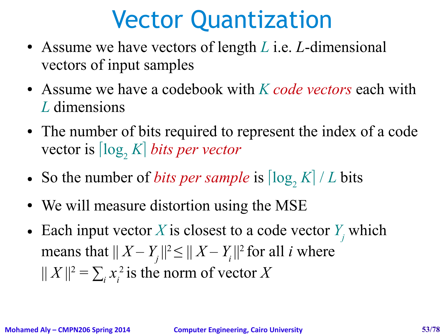## Vector Quantization

- Assume we have vectors of length *L* i.e. *L*-dimensional vectors of input samples
- Assume we have a codebook with *K code vectors* each with *L* dimensions
- The number of bits required to represent the index of a code vector is  $\lceil \log_2 K \rceil$  *bits per vector*
- So the number of *bits per sample* is  $|\log K| / L$  bits
- We will measure distortion using the MSE
- Each input vector *X* is closest to a code vector  $Y_j$  which means that  $|| X - Y_i ||^2 \le || X - Y_i ||^2$  for all *i* where  $||X||^2 = \sum_i x_i^2$  is the norm of vector *X*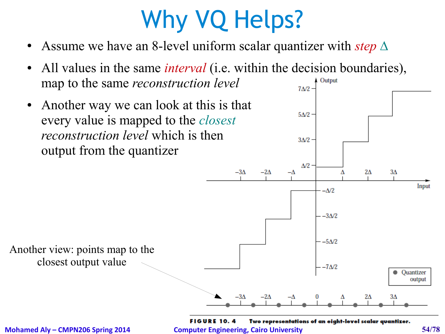# Why VQ Helps?

- Assume we have an 8-level uniform scalar quantizer with *step* ∆
- All values in the same *interval* (i.e. within the decision boundaries), map to the same *reconstruction level* Output  $7A/2$ • Another way we can look at this is that  $5\Delta/2$  every value is mapped to the *closest reconstruction level* which is then  $3\Delta/2$ output from the quantizer  $\Delta/2$  $2\Delta$  $3\Delta$  $-3\Delta$  $-2\Delta$  $-\Delta$ Δ Input  $-\Delta/2$  $-3\Delta/2$  $-5\Delta/2$ Another view: points map to the closest output value $-7\Delta/2$ Quantizer output -3A  $3\Delta$ –2∧ 2Δ

**FIGURE 10.4** Two representations of an eight-level scalar quantizer. **Mohamed Aly – CMPN206 Spring 2014 Computer Engineering, Cairo University 54/78**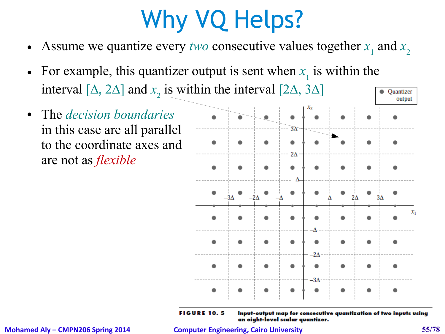# Why VQ Helps?

- Assume we quantize every *two* consecutive values together  $x_1$  and  $x_2$
- For example, this quantizer output is sent when  $x_1$  is within the interval [ $\Delta$ , 2 $\Delta$ ] and  $x_2$  is within the interval [2 $\Delta$ , 3 $\Delta$ ]
- The *decision boundaries* in this case are all parallel to the coordinate axes and are not as *flexible*



**FIGURE 10.5** 

Input-output map for consecutive quantization of two inputs using an eight-level scalar quantizer.

**Mohamed Aly – CMPN206 Spring 2014 Computer Engineering, Cairo University 55/78**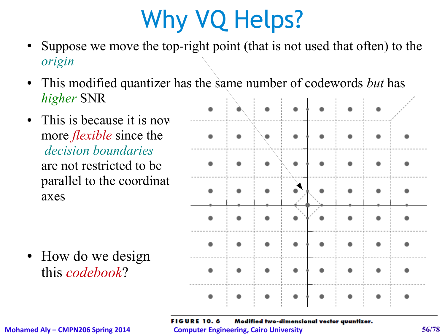# Why VQ Helps?

- Suppose we move the top-right point (that is not used that often) to the *origin*
- This modified quantizer has the same number of codewords *but* has *higher* SNR
- This is because it is now more *flexible* since the *decision boundaries* are not restricted to be parallel to the coordinate axes

• How do we design this *codebook*?

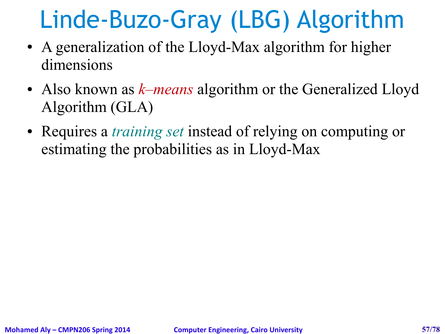## Linde-Buzo-Gray (LBG) Algorithm

- A generalization of the Lloyd-Max algorithm for higher dimensions
- Also known as *k–means* algorithm or the Generalized Lloyd Algorithm (GLA)
- Requires a *training set* instead of relying on computing or estimating the probabilities as in Lloyd-Max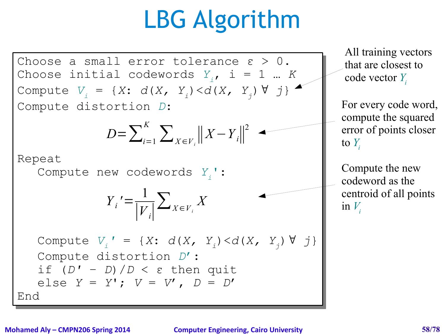## LBG Algorithm



### **Mohamed Aly – CMPN206 Spring 2014 Computer Engineering, Cairo University 58/78**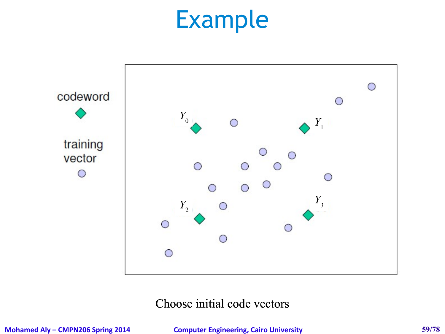

### Choose initial code vectors

**Mohamed Aly – CMPN206 Spring 2014 Computer Engineering, Cairo University 59/78**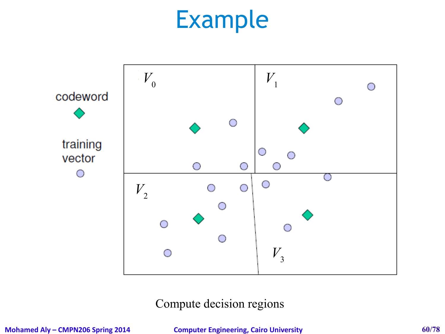

### Compute decision regions

**Mohamed Aly – CMPN206 Spring 2014 Computer Engineering, Cairo University 60/78**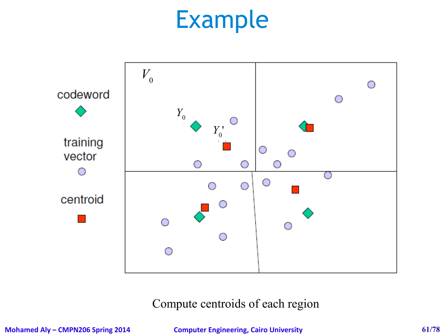

### Compute centroids of each region

**Mohamed Aly – CMPN206 Spring 2014 Computer Engineering, Cairo University 61/78**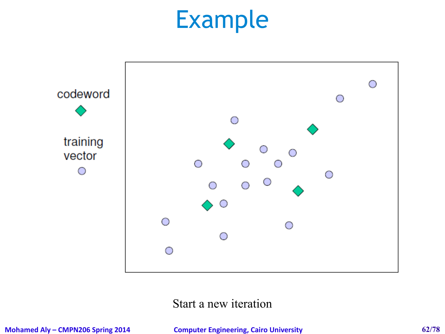

### Start a new iteration

**Mohamed Aly – CMPN206 Spring 2014 Computer Engineering, Cairo University 62/78**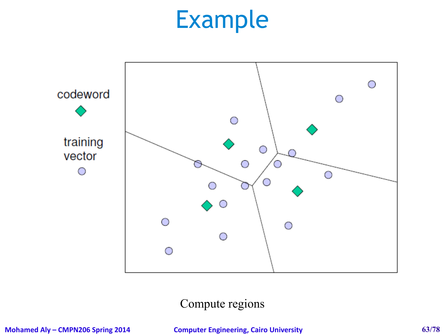

### Compute regions

**Mohamed Aly – CMPN206 Spring 2014 Computer Engineering, Cairo University 63/78**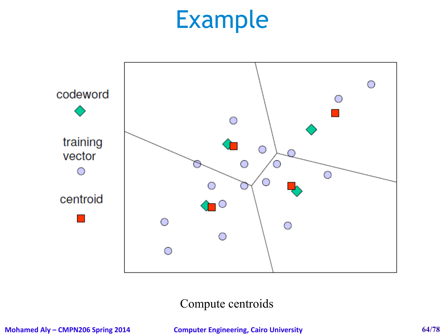

### Compute centroids

**Mohamed Aly – CMPN206 Spring 2014 Computer Engineering, Cairo University 64/78**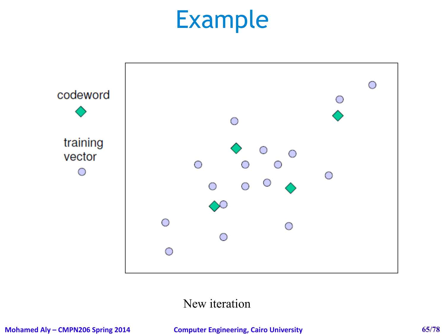

### New iteration

**Mohamed Aly – CMPN206 Spring 2014 Computer Engineering, Cairo University 65/78**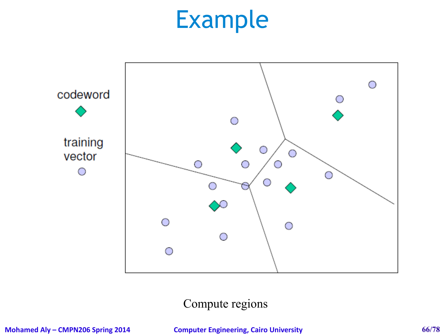

### Compute regions

**Mohamed Aly – CMPN206 Spring 2014 Computer Engineering, Cairo University 66/78**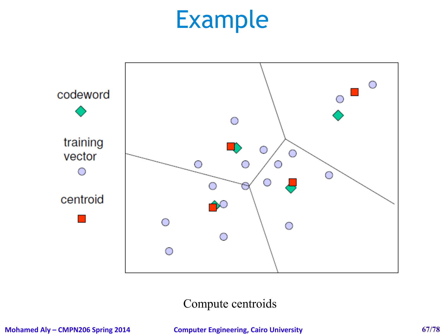

Compute centroids

**Mohamed Aly – CMPN206 Spring 2014 Computer Engineering, Cairo University 67/78**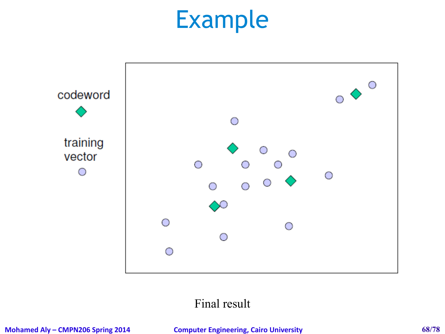

### Final result

**Mohamed Aly – CMPN206 Spring 2014 Computer Engineering, Cairo University 68/78**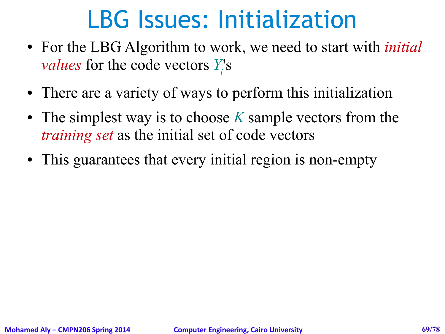### LBG Issues: Initialization

- For the LBG Algorithm to work, we need to start with *initial values* for the code vectors *Y*<sup>*'s*</sup></sup>
- There are a variety of ways to perform this initialization
- The simplest way is to choose K sample vectors from the *training set* as the initial set of code vectors
- This guarantees that every initial region is non-empty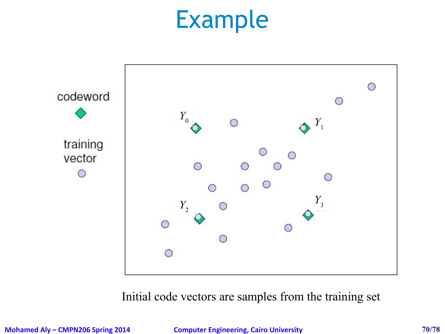

Initial code vectors are samples from the training set

**Mohamed Aly – CMPN206 Spring 2014 Computer Engineering, Cairo University 70/78**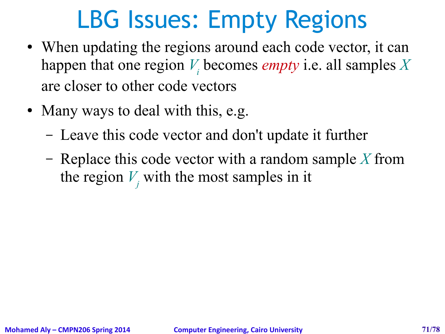## LBG Issues: Empty Regions

- When updating the regions around each code vector, it can happen that one region *V<sup>i</sup>* becomes *empty* i.e. all samples *X* are closer to other code vectors
- Many ways to deal with this, e.g.
	- Leave this code vector and don't update it further
	- Replace this code vector with a random sample *X* from the region  $V_j$  with the most samples in it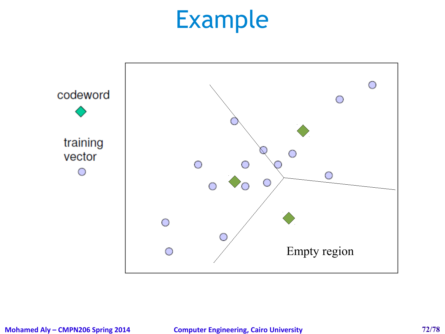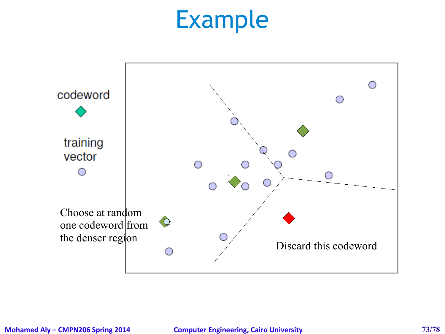### Example

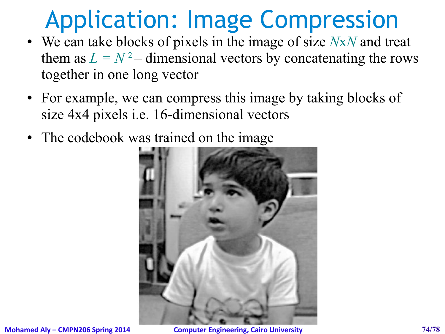### Application: Image Compression

- We can take blocks of pixels in the image of size *N*x*N* and treat them as  $L = N^2$  – dimensional vectors by concatenating the rows together in one long vector
- For example, we can compress this image by taking blocks of size 4x4 pixels i.e. 16-dimensional vectors
- The codebook was trained on the image

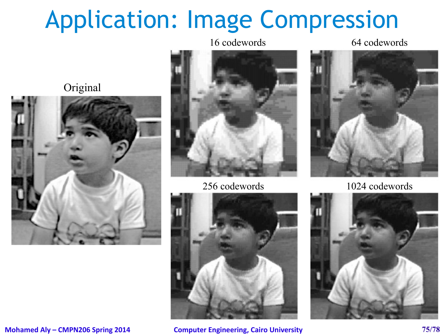## Application: Image Compression

#### 16 codewords 64 codewords

Original









256 codewords 1024 codewords

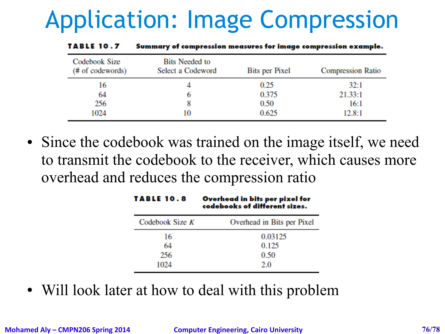# Application: Image Compression

| Codebook Size<br>(# of codewords) | <b>Bits Needed to</b><br>Select a Codeword | Bits per Pixel | <b>Compression Ratio</b> |
|-----------------------------------|--------------------------------------------|----------------|--------------------------|
| 16                                |                                            | 0.25           | 32:1                     |
| 64                                |                                            | 0.375          | 21.33:1                  |
| 256                               |                                            | 0.50           | 16:1                     |
| 1024                              | 10                                         | 0.625          | 12.8:1                   |

Summary of compression measures for image compression example. **TARLE 10.7** 

• Since the codebook was trained on the image itself, we need to transmit the codebook to the receiver, which causes more overhead and reduces the compression ratio

| TABLE 10.8      | Overhead in bits per pixel for<br>codebooks of different sizes. |  |
|-----------------|-----------------------------------------------------------------|--|
| Codebook Size K | Overhead in Bits per Pixel                                      |  |
| 16              | 0.03125                                                         |  |
| 64              | 0.125                                                           |  |
| 256             | 0.50                                                            |  |
| 1024            | 2.0                                                             |  |
|                 |                                                                 |  |

• Will look later at how to deal with this problem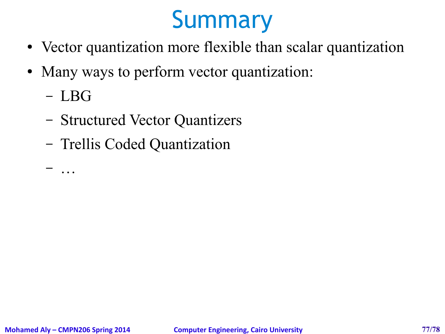## Summary

- Vector quantization more flexible than scalar quantization
- Many ways to perform vector quantization:
	- LBG

– …

- Structured Vector Quantizers
- Trellis Coded Quantization